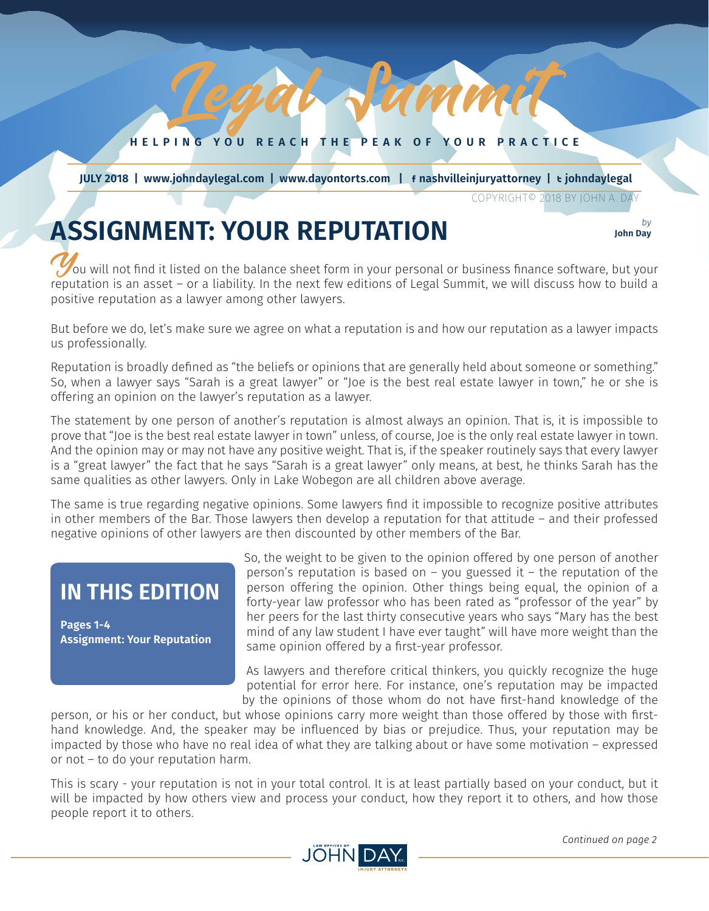**HELPING YOU REACH THE PEAK OF YOUR PRACTICE**

Lamm

*JULY 2018 1*

 **JULY 2018 | www.johndaylegal.com | www.dayontorts.com |** F **nashvilleinjuryattorney |** T **johndaylegal**

COPYRIGHT© 2018 BY JOHN A. DAY

**John Day**

# **ASSIGNMENT: YOUR REPUTATION** *by b*y *b*<sub>*lohn Day*</sub>

You will not find it listed on the balance sheet form in your personal or business finance software, but your reputation is an asset – or a liability. In the next few editions of Legal Summit, we will discuss how to build a positive reputation as a lawyer among other lawyers.

But before we do, let's make sure we agree on what a reputation is and how our reputation as a lawyer impacts us professionally.

Reputation is broadly defined as "the beliefs or opinions that are generally held about someone or something." So, when a lawyer says "Sarah is a great lawyer" or "Joe is the best real estate lawyer in town," he or she is offering an opinion on the lawyer's reputation as a lawyer.

The statement by one person of another's reputation is almost always an opinion. That is, it is impossible to prove that "Joe is the best real estate lawyer in town" unless, of course, Joe is the only real estate lawyer in town. And the opinion may or may not have any positive weight. That is, if the speaker routinely says that every lawyer is a "great lawyer" the fact that he says "Sarah is a great lawyer" only means, at best, he thinks Sarah has the same qualities as other lawyers. Only in Lake Wobegon are all children above average.

The same is true regarding negative opinions. Some lawyers find it impossible to recognize positive attributes in other members of the Bar. Those lawyers then develop a reputation for that attitude – and their professed negative opinions of other lawyers are then discounted by other members of the Bar.

## **IN THIS EDITION**

**Pages 1-4 Assignment: Your Reputation** So, the weight to be given to the opinion offered by one person of another person's reputation is based on – you guessed it – the reputation of the person offering the opinion. Other things being equal, the opinion of a forty-year law professor who has been rated as "professor of the year" by her peers for the last thirty consecutive years who says "Mary has the best mind of any law student I have ever taught" will have more weight than the same opinion offered by a first-year professor.

As lawyers and therefore critical thinkers, you quickly recognize the huge potential for error here. For instance, one's reputation may be impacted by the opinions of those whom do not have first-hand knowledge of the

person, or his or her conduct, but whose opinions carry more weight than those offered by those with firsthand knowledge. And, the speaker may be influenced by bias or prejudice. Thus, your reputation may be impacted by those who have no real idea of what they are talking about or have some motivation – expressed or not – to do your reputation harm.

This is scary - your reputation is not in your total control. It is at least partially based on your conduct, but it will be impacted by how others view and process your conduct, how they report it to others, and how those people report it to others.

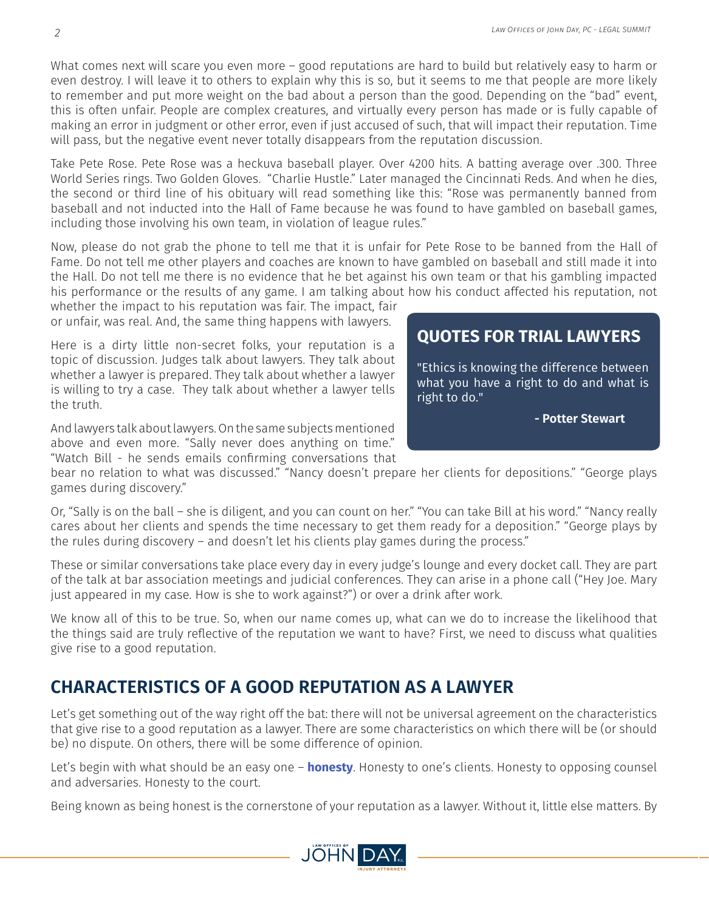What comes next will scare you even more – good reputations are hard to build but relatively easy to harm or even destroy. I will leave it to others to explain why this is so, but it seems to me that people are more likely to remember and put more weight on the bad about a person than the good. Depending on the "bad" event, this is often unfair. People are complex creatures, and virtually every person has made or is fully capable of making an error in judgment or other error, even if just accused of such, that will impact their reputation. Time will pass, but the negative event never totally disappears from the reputation discussion.

Take Pete Rose. Pete Rose was a heckuva baseball player. Over 4200 hits. A batting average over .300. Three World Series rings. Two Golden Gloves. "Charlie Hustle." Later managed the Cincinnati Reds. And when he dies, the second or third line of his obituary will read something like this: "Rose was permanently banned from baseball and not inducted into the Hall of Fame because he was found to have gambled on baseball games, including those involving his own team, in violation of league rules."

Now, please do not grab the phone to tell me that it is unfair for Pete Rose to be banned from the Hall of Fame. Do not tell me other players and coaches are known to have gambled on baseball and still made it into the Hall. Do not tell me there is no evidence that he bet against his own team or that his gambling impacted his performance or the results of any game. I am talking about how his conduct affected his reputation, not

whether the impact to his reputation was fair. The impact, fair or unfair, was real. And, the same thing happens with lawyers.

Here is a dirty little non-secret folks, your reputation is a topic of discussion. Judges talk about lawyers. They talk about whether a lawyer is prepared. They talk about whether a lawyer is willing to try a case. They talk about whether a lawyer tells the truth.

And lawyers talk about lawyers. On the same subjects mentioned above and even more. "Sally never does anything on time." "Watch Bill - he sends emails confirming conversations that

#### **QUOTES FOR TRIAL LAWYERS**

"Ethics is knowing the difference between what you have a right to do and what is right to do."

 **- Potter Stewart**

bear no relation to what was discussed." "Nancy doesn't prepare her clients for depositions." "George plays games during discovery."

Or, "Sally is on the ball – she is diligent, and you can count on her." "You can take Bill at his word." "Nancy really cares about her clients and spends the time necessary to get them ready for a deposition." "George plays by the rules during discovery – and doesn't let his clients play games during the process."

These or similar conversations take place every day in every judge's lounge and every docket call. They are part of the talk at bar association meetings and judicial conferences. They can arise in a phone call ("Hey Joe. Mary just appeared in my case. How is she to work against?") or over a drink after work.

We know all of this to be true. So, when our name comes up, what can we do to increase the likelihood that the things said are truly reflective of the reputation we want to have? First, we need to discuss what qualities give rise to a good reputation.

### **CHARACTERISTICS OF A GOOD REPUTATION AS A LAWYER**

Let's get something out of the way right off the bat: there will not be universal agreement on the characteristics that give rise to a good reputation as a lawyer. There are some characteristics on which there will be (or should be) no dispute. On others, there will be some difference of opinion.

Let's begin with what should be an easy one – **honesty**. Honesty to one's clients. Honesty to opposing counsel and adversaries. Honesty to the court.

Being known as being honest is the cornerstone of your reputation as a lawyer. Without it, little else matters. By



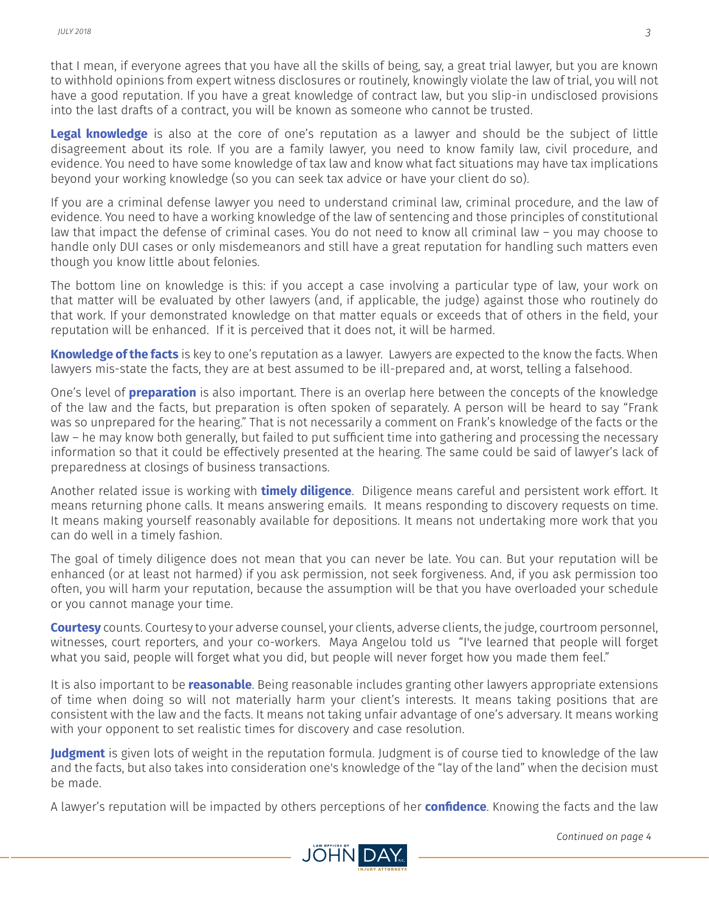that I mean, if everyone agrees that you have all the skills of being, say, a great trial lawyer, but you are known to withhold opinions from expert witness disclosures or routinely, knowingly violate the law of trial, you will not have a good reputation. If you have a great knowledge of contract law, but you slip-in undisclosed provisions into the last drafts of a contract, you will be known as someone who cannot be trusted.

**Legal knowledge** is also at the core of one's reputation as a lawyer and should be the subject of little disagreement about its role. If you are a family lawyer, you need to know family law, civil procedure, and evidence. You need to have some knowledge of tax law and know what fact situations may have tax implications beyond your working knowledge (so you can seek tax advice or have your client do so).

If you are a criminal defense lawyer you need to understand criminal law, criminal procedure, and the law of evidence. You need to have a working knowledge of the law of sentencing and those principles of constitutional law that impact the defense of criminal cases. You do not need to know all criminal law – you may choose to handle only DUI cases or only misdemeanors and still have a great reputation for handling such matters even though you know little about felonies.

The bottom line on knowledge is this: if you accept a case involving a particular type of law, your work on that matter will be evaluated by other lawyers (and, if applicable, the judge) against those who routinely do that work. If your demonstrated knowledge on that matter equals or exceeds that of others in the field, your reputation will be enhanced. If it is perceived that it does not, it will be harmed.

**Knowledge of the facts** is key to one's reputation as a lawyer. Lawyers are expected to the know the facts. When lawyers mis-state the facts, they are at best assumed to be ill-prepared and, at worst, telling a falsehood.

One's level of **preparation** is also important. There is an overlap here between the concepts of the knowledge of the law and the facts, but preparation is often spoken of separately. A person will be heard to say "Frank was so unprepared for the hearing." That is not necessarily a comment on Frank's knowledge of the facts or the law – he may know both generally, but failed to put sufficient time into gathering and processing the necessary information so that it could be effectively presented at the hearing. The same could be said of lawyer's lack of preparedness at closings of business transactions.

Another related issue is working with **timely diligence**. Diligence means careful and persistent work effort. It means returning phone calls. It means answering emails. It means responding to discovery requests on time. It means making yourself reasonably available for depositions. It means not undertaking more work that you can do well in a timely fashion.

The goal of timely diligence does not mean that you can never be late. You can. But your reputation will be enhanced (or at least not harmed) if you ask permission, not seek forgiveness. And, if you ask permission too often, you will harm your reputation, because the assumption will be that you have overloaded your schedule or you cannot manage your time.

**Courtesy** counts. Courtesy to your adverse counsel, your clients, adverse clients, the judge, courtroom personnel, witnesses, court reporters, and your co-workers. Maya Angelou told us "I've learned that people will forget what you said, people will forget what you did, but people will never forget how you made them feel."

It is also important to be **reasonable**. Being reasonable includes granting other lawyers appropriate extensions of time when doing so will not materially harm your client's interests. It means taking positions that are consistent with the law and the facts. It means not taking unfair advantage of one's adversary. It means working with your opponent to set realistic times for discovery and case resolution.

**Judgment** is given lots of weight in the reputation formula. Judgment is of course tied to knowledge of the law and the facts, but also takes into consideration one's knowledge of the "lay of the land" when the decision must be made.

A lawyer's reputation will be impacted by others perceptions of her **confidence**. Knowing the facts and the law





 *Continued on page 4*